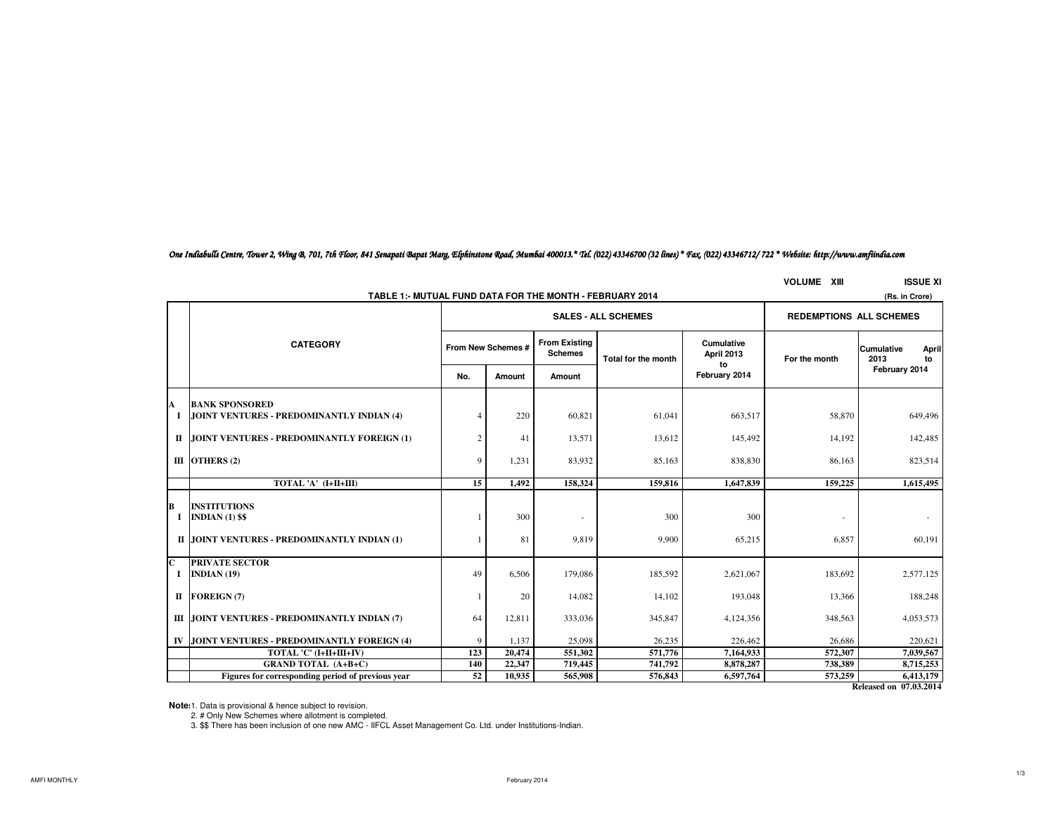# *One Indiabulls Centre, Tower 2, Wing B, 701, 7th Floor, 841 Senapati Bapat Marg, Elphinstone Road, Mumbai 400013.\* Tel. (022) 43346700 (32 lines) \* Fax. (022) 43346712/ 722 \* Website: http://www.amfiindia.com*

**VOLUME XIII ISSUE XI**

|                         | TABLE 1:- MUTUAL FUND DATA FOR THE MONTH - FEBRUARY 2014<br>(Rs. in Crore)              |     |                    |                                        |                     |                                |               |                                                 |  |  |  |
|-------------------------|-----------------------------------------------------------------------------------------|-----|--------------------|----------------------------------------|---------------------|--------------------------------|---------------|-------------------------------------------------|--|--|--|
|                         |                                                                                         |     |                    | <b>SALES - ALL SCHEMES</b>             |                     | <b>REDEMPTIONS ALL SCHEMES</b> |               |                                                 |  |  |  |
|                         | <b>CATEGORY</b>                                                                         |     | From New Schemes # | <b>From Existing</b><br><b>Schemes</b> | Total for the month | Cumulative<br>April 2013<br>to | For the month | <b>Cumulative</b><br><b>April</b><br>2013<br>to |  |  |  |
|                         |                                                                                         | No. | Amount             | Amount                                 |                     | February 2014                  |               | February 2014                                   |  |  |  |
| A<br>-1                 | <b>BANK SPONSORED</b><br>JOINT VENTURES - PREDOMINANTLY INDIAN (4)                      | 4   | 220                | 60,821                                 | 61,041              | 663,517                        | 58,870        | 649,496                                         |  |  |  |
|                         | II JOINT VENTURES - PREDOMINANTLY FOREIGN (1)                                           | 2   | 41                 | 13,571                                 | 13,612              | 145,492                        | 14,192        | 142,485                                         |  |  |  |
|                         | III OTHERS $(2)$                                                                        | 9   | 1,231              | 83,932                                 | 85,163              | 838,830                        | 86,163        | 823,514                                         |  |  |  |
|                         | TOTAL 'A' (I+II+III)                                                                    | 15  | 1.492              | 158,324                                | 159.816             | 1,647,839                      | 159,225       | 1,615,495                                       |  |  |  |
| B                       | <b>INSTITUTIONS</b><br>I INDIAN (1) $$$<br>II JOINT VENTURES - PREDOMINANTLY INDIAN (1) |     | 300<br>81          | $\sim$<br>9,819                        | 300<br>9,900        | 300<br>65,215                  | 6,857         | 60,191                                          |  |  |  |
| $\overline{\mathbf{C}}$ | <b>PRIVATE SECTOR</b>                                                                   |     |                    |                                        |                     |                                |               |                                                 |  |  |  |
| <b>I</b>                | INDIAN $(19)$                                                                           | 49  | 6,506              | 179,086                                | 185,592             | 2,621,067                      | 183,692       | 2,577,125                                       |  |  |  |
|                         | II FOREIGN (7)                                                                          |     | 20                 | 14,082                                 | 14,102              | 193,048                        | 13,366        | 188,248                                         |  |  |  |
|                         | III JOINT VENTURES - PREDOMINANTLY INDIAN (7)                                           | 64  | 12,811             | 333,036                                | 345,847             | 4,124,356                      | 348,563       | 4,053,573                                       |  |  |  |
|                         | IV JOINT VENTURES - PREDOMINANTLY FOREIGN (4)                                           | 9   | 1,137              | 25,098                                 | 26,235              | 226,462                        | 26,686        | 220,621                                         |  |  |  |
|                         | TOTAL 'C' (I+II+III+IV)                                                                 | 123 | 20,474             | 551,302                                | 571,776             | 7,164,933                      | 572,307       | 7,039,567                                       |  |  |  |
|                         | <b>GRAND TOTAL (A+B+C)</b>                                                              | 140 | 22,347             | 719,445                                | 741,792             | 8,878,287                      | 738,389       | 8,715,253                                       |  |  |  |
|                         | Figures for corresponding period of previous year                                       | 52  | 10,935             | 565,908                                | 576.843             | 6,597,764                      | 573,259       | 6,413,179                                       |  |  |  |

**Released on 07.03.2014**

**Notes:**1. Data is provisional & hence subject to revision.

2. # Only New Schemes where allotment is completed. 3. \$\$ There has been inclusion of one new AMC - IIFCL Asset Management Co. Ltd. under Institutions-Indian.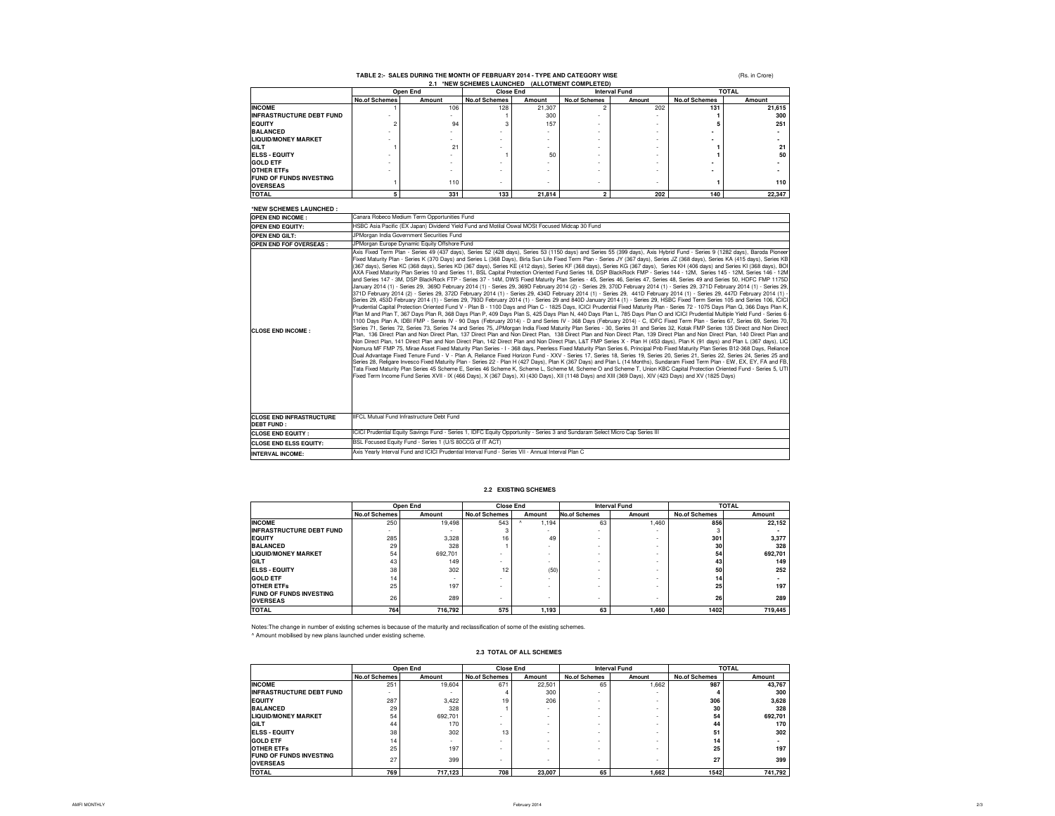# **TABLE 2:- SALES DURING THE MONTH OF FEBRUARY 2014 - TYPE AND CATEGORY WISE 2.1 \*NEW SCHEMES LAUNCHED (ALLOTMENT COMPLETED)**

(Rs. in Crore)

| *NEW SCHEMES LAUNCHED (ALLOTMENT COMPLETED)<br>2.1 |                      |          |                      |        |                      |                          |                      |        |  |
|----------------------------------------------------|----------------------|----------|----------------------|--------|----------------------|--------------------------|----------------------|--------|--|
|                                                    |                      | Open End | <b>Close End</b>     |        | <b>Interval Fund</b> |                          | <b>TOTAL</b>         |        |  |
|                                                    | <b>No.of Schemes</b> | Amount   | <b>No.of Schemes</b> | Amount | <b>No.of Schemes</b> | Amount                   | <b>No.of Schemes</b> | Amount |  |
| <b>INCOME</b>                                      |                      | 106      | 128                  | 21.307 |                      | 202                      | 131                  | 21.615 |  |
| <b>INFRASTRUCTURE DEBT FUND</b>                    |                      |          |                      | 300    |                      |                          |                      | 300    |  |
| <b>EQUITY</b>                                      |                      | 94       |                      | 157    |                      |                          |                      | 251    |  |
| <b>BALANCED</b>                                    |                      |          |                      |        |                      |                          |                      |        |  |
| <b>LIQUID/MONEY MARKET</b>                         |                      |          |                      |        |                      | $\overline{\phantom{a}}$ |                      |        |  |
| <b>GILT</b>                                        |                      | 21       |                      |        |                      |                          |                      |        |  |
| <b>ELSS - EQUITY</b>                               |                      |          |                      | 50     |                      |                          |                      | 50     |  |
| <b>GOLD ETF</b>                                    |                      |          |                      |        |                      |                          |                      |        |  |
| <b>OTHER ETFS</b>                                  |                      |          |                      |        |                      | $\overline{\phantom{a}}$ |                      |        |  |
| <b>FUND OF FUNDS INVESTING</b><br><b>OVERSEAS</b>  |                      | 110      |                      |        |                      | $\overline{\phantom{a}}$ |                      | 110    |  |
| <b>TOTAL</b>                                       |                      | 331      | 133                  | 21,814 |                      | 202                      | 140                  | 22,347 |  |

#### **\*NEW SCHEMES LAUNCHED :**

| <b>NEW SCHEMES LAUNCHED.</b><br><b>OPEN END INCOME:</b> | Canara Robeco Medium Term Opportunities Fund                                                                                                                                                                                                                                                                                                                                                                                                                                                                                                                                                                                                                                                                                                                                                                                                                                                                                                                                                                                                                                                                                                                                                                                                                                                                                                                                                                                                                                                                                                                                                                                                                                                                                                                                                                                                                                                                                                                                                                                                                                                                                                                                                                                                                                                                                                                                                                                                                                                                                                                                                                                                                                                                                                                                                                                                                                                                                                                                                                                                                                                                                                                                                                                                                                                                                                                                                                                                                 |
|---------------------------------------------------------|--------------------------------------------------------------------------------------------------------------------------------------------------------------------------------------------------------------------------------------------------------------------------------------------------------------------------------------------------------------------------------------------------------------------------------------------------------------------------------------------------------------------------------------------------------------------------------------------------------------------------------------------------------------------------------------------------------------------------------------------------------------------------------------------------------------------------------------------------------------------------------------------------------------------------------------------------------------------------------------------------------------------------------------------------------------------------------------------------------------------------------------------------------------------------------------------------------------------------------------------------------------------------------------------------------------------------------------------------------------------------------------------------------------------------------------------------------------------------------------------------------------------------------------------------------------------------------------------------------------------------------------------------------------------------------------------------------------------------------------------------------------------------------------------------------------------------------------------------------------------------------------------------------------------------------------------------------------------------------------------------------------------------------------------------------------------------------------------------------------------------------------------------------------------------------------------------------------------------------------------------------------------------------------------------------------------------------------------------------------------------------------------------------------------------------------------------------------------------------------------------------------------------------------------------------------------------------------------------------------------------------------------------------------------------------------------------------------------------------------------------------------------------------------------------------------------------------------------------------------------------------------------------------------------------------------------------------------------------------------------------------------------------------------------------------------------------------------------------------------------------------------------------------------------------------------------------------------------------------------------------------------------------------------------------------------------------------------------------------------------------------------------------------------------------------------------------------------|
| <b>OPEN END EQUITY:</b>                                 | HSBC Asia Pacific (EX Japan) Dividend Yield Fund and Motilal Oswal MOSt Focused Midcap 30 Fund                                                                                                                                                                                                                                                                                                                                                                                                                                                                                                                                                                                                                                                                                                                                                                                                                                                                                                                                                                                                                                                                                                                                                                                                                                                                                                                                                                                                                                                                                                                                                                                                                                                                                                                                                                                                                                                                                                                                                                                                                                                                                                                                                                                                                                                                                                                                                                                                                                                                                                                                                                                                                                                                                                                                                                                                                                                                                                                                                                                                                                                                                                                                                                                                                                                                                                                                                               |
| <b>OPEN END GILT:</b>                                   | JPMorgan India Government Securities Fund                                                                                                                                                                                                                                                                                                                                                                                                                                                                                                                                                                                                                                                                                                                                                                                                                                                                                                                                                                                                                                                                                                                                                                                                                                                                                                                                                                                                                                                                                                                                                                                                                                                                                                                                                                                                                                                                                                                                                                                                                                                                                                                                                                                                                                                                                                                                                                                                                                                                                                                                                                                                                                                                                                                                                                                                                                                                                                                                                                                                                                                                                                                                                                                                                                                                                                                                                                                                                    |
| OPEN END FOF OVERSEAS :                                 | JPMorgan Europe Dynamic Equity Offshore Fund                                                                                                                                                                                                                                                                                                                                                                                                                                                                                                                                                                                                                                                                                                                                                                                                                                                                                                                                                                                                                                                                                                                                                                                                                                                                                                                                                                                                                                                                                                                                                                                                                                                                                                                                                                                                                                                                                                                                                                                                                                                                                                                                                                                                                                                                                                                                                                                                                                                                                                                                                                                                                                                                                                                                                                                                                                                                                                                                                                                                                                                                                                                                                                                                                                                                                                                                                                                                                 |
| <b>CLOSE END INCOME:</b>                                | Axis Fixed Term Plan - Series 49 (437 days), Series 52 (428 days), Series 53 (1150 days) and Series 55 (399 days), Axis Hybrid Fund - Series 9 (1282 days), Baroda Pioneer<br>Fixed Maturity Plan - Series K (370 Days) and Series L (368 Days), Birla Sun Life Fixed Term Plan - Series JY (367 days), Series JZ (368 days), Series KA (415 days), Series KB<br>(367 days), Series KC (368 days), Series KD (367 days), Series KE (412 days), Series KF (368 days), Series KG (367 days), Series KH (406 days) and Series KI (368 days), BOI<br>AXA Fixed Maturity Plan Series 10 and Series 11, BSL Capital Protection Oriented Fund Series 18, DSP BlackRock FMP - Series 144 - 12M, Series 145 - 12M, Series 146 - 12M Series 146 - 12M<br>and Series 147 - 3M, DSP BlackRock FTP - Series 37 - 14M, DWS Fixed Maturity Plan Series - 45, Series 46, Series 47, Series 48, Series 49 and Series 50, HDFC FMP 1175D<br>January 2014 (1) - Series 29, 369D February 2014 (1) - Series 29, 369D February 2014 (2) - Series 29, 370D February 2014 (1) - Series 29, 371D February 2014 (1) - Series 29,<br>371D February 2014 (2) - Series 29, 372D February 2014 (1) - Series 29, 434D February 2014 (1) - Series 29, 441D February 2014 (1) - Series 29, 447D February 2014 (1) -<br>Series 29, 453D February 2014 (1) - Series 29, 793D February 2014 (1) - Series 29 and 840D January 2014 (1) - Series 29, HSBC Fixed Term Series 105 and Series 106, ICICI<br>Prudential Capital Protection Oriented Fund V - Plan B - 1100 Days and Plan C - 1825 Days, ICICI Prudential Fixed Maturity Plan - Series 72 - 1075 Days Plan Q, 366 Days Plan K,<br>Plan M and Plan T, 367 Days Plan R, 368 Days Plan P, 409 Days Plan S, 425 Days Plan N, 440 Days Plan L, 785 Days Plan O and ICICI Prudential Multiple Yield Fund - Series 6<br>1100 Days Plan A, IDBI FMP - Sereis IV - 90 Days (February 2014) - D and Series IV - 368 Days (February 2014) - C, IDFC Fixed Term Plan - Series 67, Series 69, Series 70,<br>Series 71, Series 72, Series 73, Series 74 and Series 75, JPMorgan India Fixed Maturity Plan Series - 30, Series 31 and Series 32, Kotak FMP Series 135 Direct and Non Direct<br>Plan, 136 Direct Plan and Non Direct Plan, 137 Direct Plan and Non Direct Plan, 138 Direct Plan and Non Direct Plan, 139 Direct Plan and Non Direct Plan, 140 Direct Plan and<br>Non Direct Plan, 141 Direct Plan and Non Direct Plan, 142 Direct Plan and Non Direct Plan, L&T FMP Series X - Plan H (453 days), Plan K (91 days) and Plan L (367 days), LIC<br>Nomura MF FMP 75. Mirae Asset Fixed Maturity Plan Series - I - 368 days, Peerless Fixed Maturity Plan Series 6, Principal Pnb Fixed Maturity Plan Series B12-368 Days, Reliance<br>Dual Advantage Fixed Tenure Fund - V - Plan A, Reliance Fixed Horizon Fund - XXV - Series 17, Series 18, Series 19, Series 20, Series 21, Series 22, Series 24, Series 25 and<br>Series 28, Religare Invesco Fixed Maturity Plan - Series 22 - Plan H (427 Days), Plan K (367 Days) and Plan L (14 Months), Sundaram Fixed Term Plan - EW, EX, EY, FA and FB,<br>Tata Fixed Maturity Plan Series 45 Scheme E, Series 46 Scheme K, Scheme L, Scheme M, Scheme O and Scheme T, Union KBC Capital Protection Oriented Fund - Series 5, UTI<br>Fixed Term Income Fund Series XVII - IX (466 Days), X (367 Days), XI (430 Days), XII (1148 Days) and XIII (369 Days), XIV (423 Days) and XV (1825 Days) |
| <b>CLOSE END INFRASTRUCTURE</b><br><b>DEBT FUND:</b>    | IIFCL Mutual Fund Infrastructure Debt Fund                                                                                                                                                                                                                                                                                                                                                                                                                                                                                                                                                                                                                                                                                                                                                                                                                                                                                                                                                                                                                                                                                                                                                                                                                                                                                                                                                                                                                                                                                                                                                                                                                                                                                                                                                                                                                                                                                                                                                                                                                                                                                                                                                                                                                                                                                                                                                                                                                                                                                                                                                                                                                                                                                                                                                                                                                                                                                                                                                                                                                                                                                                                                                                                                                                                                                                                                                                                                                   |
| <b>CLOSE END EQUITY:</b>                                | ICICI Prudential Equity Savings Fund - Series 1, IDFC Equity Opportunity - Series 3 and Sundaram Select Micro Cap Series III                                                                                                                                                                                                                                                                                                                                                                                                                                                                                                                                                                                                                                                                                                                                                                                                                                                                                                                                                                                                                                                                                                                                                                                                                                                                                                                                                                                                                                                                                                                                                                                                                                                                                                                                                                                                                                                                                                                                                                                                                                                                                                                                                                                                                                                                                                                                                                                                                                                                                                                                                                                                                                                                                                                                                                                                                                                                                                                                                                                                                                                                                                                                                                                                                                                                                                                                 |
| <b>CLOSE END ELSS EQUITY:</b>                           | BSL Focused Equity Fund - Series 1 (U/S 80CCG of IT ACT)                                                                                                                                                                                                                                                                                                                                                                                                                                                                                                                                                                                                                                                                                                                                                                                                                                                                                                                                                                                                                                                                                                                                                                                                                                                                                                                                                                                                                                                                                                                                                                                                                                                                                                                                                                                                                                                                                                                                                                                                                                                                                                                                                                                                                                                                                                                                                                                                                                                                                                                                                                                                                                                                                                                                                                                                                                                                                                                                                                                                                                                                                                                                                                                                                                                                                                                                                                                                     |
| <b>INTERVAL INCOME:</b>                                 | Axis Yearly Interval Fund and ICICI Prudential Interval Fund - Series VII - Annual Interval Plan C                                                                                                                                                                                                                                                                                                                                                                                                                                                                                                                                                                                                                                                                                                                                                                                                                                                                                                                                                                                                                                                                                                                                                                                                                                                                                                                                                                                                                                                                                                                                                                                                                                                                                                                                                                                                                                                                                                                                                                                                                                                                                                                                                                                                                                                                                                                                                                                                                                                                                                                                                                                                                                                                                                                                                                                                                                                                                                                                                                                                                                                                                                                                                                                                                                                                                                                                                           |

### **2.2 EXISTING SCHEMES**

|                                                   | Open End             |         |                      | <b>Close End</b>         |                          | <b>Interval Fund</b>     |                      | <b>TOTAL</b> |  |
|---------------------------------------------------|----------------------|---------|----------------------|--------------------------|--------------------------|--------------------------|----------------------|--------------|--|
|                                                   | <b>No.of Schemes</b> | Amount  | <b>No.of Schemes</b> | Amount                   | <b>No.of Schemes</b>     | Amount                   | <b>No.of Schemes</b> | Amount       |  |
| <b>INCOME</b>                                     | 250                  | 19.498  | 543                  | 1.194                    | 63                       | 1.460                    | 856                  | 22.152       |  |
| <b>INFRASTRUCTURE DEBT FUND</b>                   |                      |         |                      |                          | $\sim$                   | $\overline{\phantom{a}}$ |                      |              |  |
| <b>EQUITY</b>                                     | 285                  | 3.328   | 16                   | 49                       |                          | $\overline{\phantom{a}}$ | 301                  | 3,377        |  |
| <b>BALANCED</b>                                   | 29                   | 328     |                      |                          |                          | $\overline{\phantom{a}}$ | 30                   | 328          |  |
| <b>LIQUID/MONEY MARKET</b>                        | 54                   | 692.701 |                      |                          |                          | $\overline{\phantom{a}}$ | 54                   | 692.701      |  |
| <b>GILT</b>                                       | 43                   | 149     |                      | $\overline{\phantom{a}}$ |                          | $\overline{\phantom{a}}$ | 43                   | 149          |  |
| <b>ELSS - EQUITY</b>                              | 38                   | 302     | 12                   | (50)                     | $\overline{\phantom{a}}$ | $\overline{\phantom{a}}$ | 50                   | 252          |  |
| <b>GOLD ETF</b>                                   | 14                   |         |                      | $\sim$                   |                          | $\overline{\phantom{a}}$ | 14                   | -            |  |
| <b>OTHER ETFS</b>                                 | 25                   | 197     |                      |                          |                          | $\overline{\phantom{a}}$ | 25                   | 197          |  |
| <b>FUND OF FUNDS INVESTING</b><br><b>OVERSEAS</b> | 26                   | 289     |                      | $\sim$                   |                          |                          | 26                   | 289          |  |
| <b>TOTAL</b>                                      | 764                  | 716.792 | 575                  | 1,193                    | 63                       | 1.460                    | 1402                 | 719,445      |  |

Notes:The change in number of existing schemes is because of the maturity and reclassification of some of the existing schemes. ^ Amount mobilised by new plans launched under existing scheme.

### **2.3 TOTAL OF ALL SCHEMES**

|                                                   | Open End             |         | <b>Close End</b>     |        | <b>Interval Fund</b>     |        | <b>TOTAL</b>         |         |
|---------------------------------------------------|----------------------|---------|----------------------|--------|--------------------------|--------|----------------------|---------|
|                                                   | <b>No.of Schemes</b> | Amount  | <b>No.of Schemes</b> | Amount | <b>No.of Schemes</b>     | Amount | <b>No.of Schemes</b> | Amount  |
| <b>INCOME</b>                                     | 251                  | 19,604  | 671                  | 22.501 | 65                       | 1.662  | 987                  | 43.767  |
| <b>INFRASTRUCTURE DEBT FUND</b>                   |                      |         |                      | 300    |                          | ٠      |                      | 300     |
| <b>IEQUITY</b>                                    | 287                  | 3.422   | 19                   | 206    |                          | ٠      | 306                  | 3.628   |
| <b>BALANCED</b>                                   | 29                   | 328     |                      | $\sim$ |                          | ٠      | 30                   | 328     |
| <b>LIQUID/MONEY MARKET</b>                        | 54                   | 692.701 |                      |        |                          | ٠      | 54                   | 692,701 |
| <b>GILT</b>                                       | 44                   | 170     |                      |        |                          | ٠      | 44                   | 170     |
| <b>ELSS - EQUITY</b>                              | 38                   | 302     | 13                   |        |                          |        | 51                   | 302     |
| <b>GOLD ETF</b>                                   | 14                   |         |                      |        |                          |        | 14                   |         |
| <b>OTHER ETFS</b>                                 | 25                   | 197     |                      |        |                          |        | 25                   | 197     |
| <b>FUND OF FUNDS INVESTING</b><br><b>OVERSEAS</b> | 27                   | 399     |                      |        | $\overline{\phantom{a}}$ |        | 27                   | 399     |
| <b>TOTAL</b>                                      | 769                  | 717.123 | 708                  | 23.007 | 65                       | 1.662  | 1542                 | 741,792 |